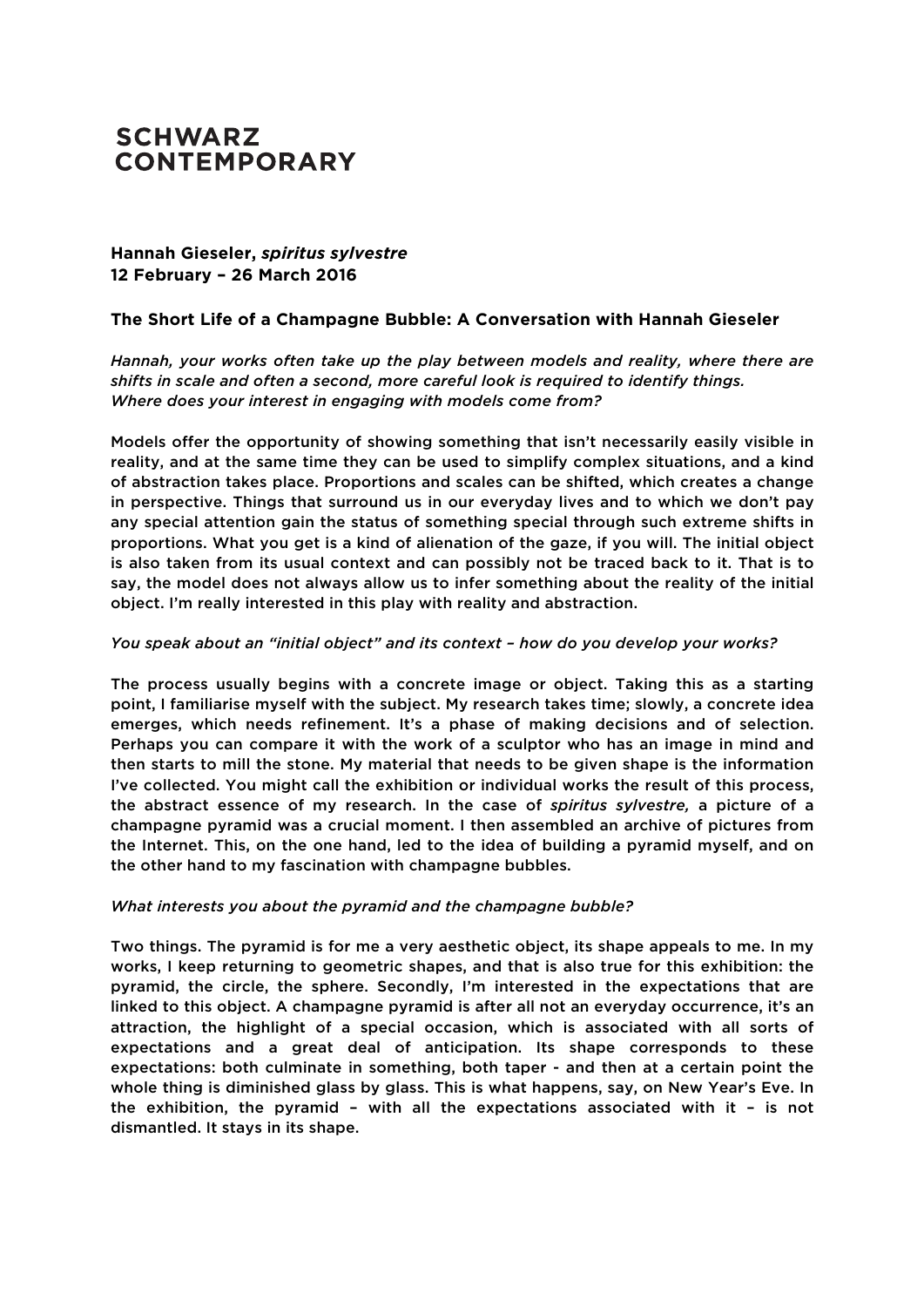# **SCHWARZ CONTEMPORARY**

## **Hannah Gieseler,** *spiritus sylvestre* **12 February – 26 March 2016**

### **The Short Life of a Champagne Bubble: A Conversation with Hannah Gieseler**

*Hannah, your works often take up the play between models and reality, where there are shifts in scale and often a second, more careful look is required to identify things. Where does your interest in engaging with models come from?* 

Models offer the opportunity of showing something that isn't necessarily easily visible in reality, and at the same time they can be used to simplify complex situations, and a kind of abstraction takes place. Proportions and scales can be shifted, which creates a change in perspective. Things that surround us in our everyday lives and to which we don't pay any special attention gain the status of something special through such extreme shifts in proportions. What you get is a kind of alienation of the gaze, if you will. The initial object is also taken from its usual context and can possibly not be traced back to it. That is to say, the model does not always allow us to infer something about the reality of the initial object. I'm really interested in this play with reality and abstraction.

#### *You speak about an "initial object" and its context – how do you develop your works?*

The process usually begins with a concrete image or object. Taking this as a starting point, I familiarise myself with the subject. My research takes time; slowly, a concrete idea emerges, which needs refinement. It's a phase of making decisions and of selection. Perhaps you can compare it with the work of a sculptor who has an image in mind and then starts to mill the stone. My material that needs to be given shape is the information I've collected. You might call the exhibition or individual works the result of this process, the abstract essence of my research. In the case of *spiritus sylvestre,* a picture of a champagne pyramid was a crucial moment. I then assembled an archive of pictures from the Internet. This, on the one hand, led to the idea of building a pyramid myself, and on the other hand to my fascination with champagne bubbles.

#### *What interests you about the pyramid and the champagne bubble?*

Two things. The pyramid is for me a very aesthetic object, its shape appeals to me. In my works, I keep returning to geometric shapes, and that is also true for this exhibition: the pyramid, the circle, the sphere. Secondly, I'm interested in the expectations that are linked to this object. A champagne pyramid is after all not an everyday occurrence, it's an attraction, the highlight of a special occasion, which is associated with all sorts of expectations and a great deal of anticipation. Its shape corresponds to these expectations: both culminate in something, both taper - and then at a certain point the whole thing is diminished glass by glass. This is what happens, say, on New Year's Eve. In the exhibition, the pyramid – with all the expectations associated with it – is not dismantled. It stays in its shape.